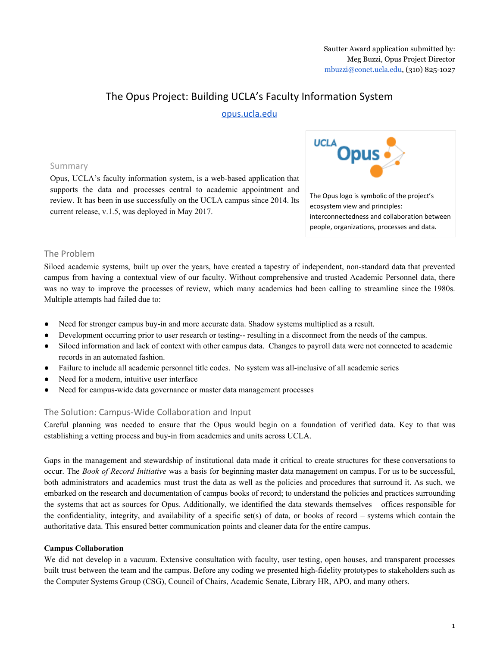# The Opus Project: Building UCLA's Faculty Information System

# [opus.ucla.edu](https://opus.ucla.edu/)

# Summary

Opus, UCLA's faculty information system, is a web-based application that supports the data and processes central to academic appointment and review. It has been in use successfully on the UCLA campus since 2014. Its current release, v.1.5, was deployed in May 2017.



# The Problem

Siloed academic systems, built up over the years, have created a tapestry of independent, non-standard data that prevented campus from having a contextual view of our faculty. Without comprehensive and trusted Academic Personnel data, there was no way to improve the processes of review, which many academics had been calling to streamline since the 1980s. Multiple attempts had failed due to:

- Need for stronger campus buy-in and more accurate data. Shadow systems multiplied as a result.
- Development occurring prior to user research or testing-- resulting in a disconnect from the needs of the campus.
- Siloed information and lack of context with other campus data. Changes to payroll data were not connected to academic records in an automated fashion.
- Failure to include all academic personnel title codes. No system was all-inclusive of all academic series
- Need for a modern, intuitive user interface
- Need for campus-wide data governance or master data management processes

# The Solution: Campus-Wide Collaboration and Input

Careful planning was needed to ensure that the Opus would begin on a foundation of verified data. Key to that was establishing a vetting process and buy-in from academics and units across UCLA.

Gaps in the management and stewardship of institutional data made it critical to create structures for these conversations to occur. The *Book of Record Initiative* was a basis for beginning master data management on campus. For us to be successful, both administrators and academics must trust the data as well as the policies and procedures that surround it. As such, we embarked on the research and documentation of campus books of record; to understand the policies and practices surrounding the systems that act as sources for Opus. Additionally, we identified the data stewards themselves – offices responsible for the confidentiality, integrity, and availability of a specific set(s) of data, or books of record – systems which contain the authoritative data. This ensured better communication points and cleaner data for the entire campus.

# **Campus Collaboration**

We did not develop in a vacuum. Extensive consultation with faculty, user testing, open houses, and transparent processes built trust between the team and the campus. Before any coding we presented high-fidelity prototypes to stakeholders such as the Computer Systems Group (CSG), Council of Chairs, Academic Senate, Library HR, APO, and many others.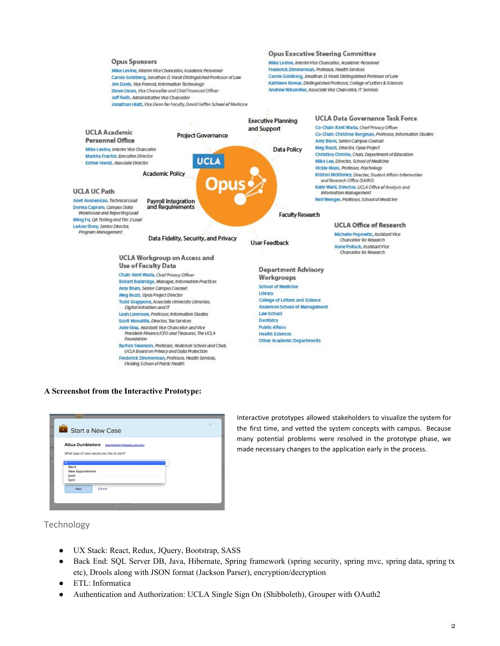

#### **A Screenshot from the Interactive Prototype:**

| Start a New Case                            |  |
|---------------------------------------------|--|
| Albus Dumbledore adumbledore@gseis.ucla.edu |  |
| What type of case would you like to start?  |  |
|                                             |  |
|                                             |  |
|                                             |  |
| Merit<br>New Appointment                    |  |
| Joint                                       |  |
| Split                                       |  |
|                                             |  |
| Cancel<br>Next                              |  |

Interactive prototypes allowed stakeholders to visualize the system for the first time, and vetted the system concepts with campus. Because many potential problems were resolved in the prototype phase, we made necessary changes to the application early in the process.

# Technology

- UX Stack: React, Redux, JQuery, Bootstrap, SASS
- Back End: SQL Server DB, Java, Hibernate, Spring framework (spring security, spring mvc, spring data, spring tx etc), Drools along with JSON format (Jackson Parser), encryption/decryption
- ETL: Informatica
- Authentication and Authorization: UCLA Single Sign On (Shibboleth), Grouper with OAuth2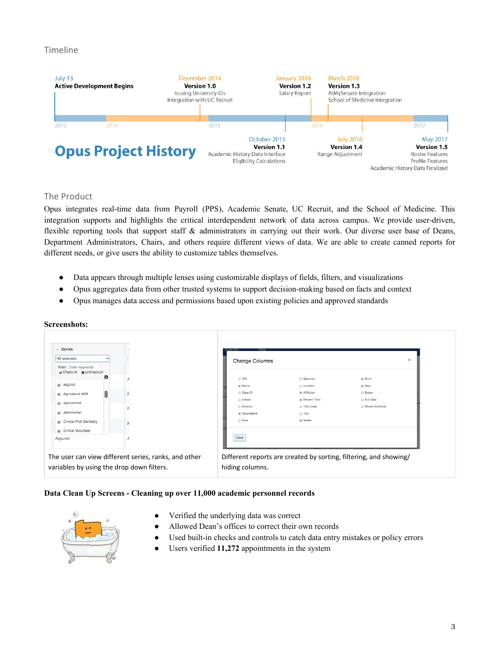# Timeline



# The Product

Opus integrates real-time data from Payroll (PPS), Academic Senate, UC Recruit, and the School of Medicine. This integration supports and highlights the critical interdependent network of data across campus. We provide user-driven, flexible reporting tools that support staff & administrators in carrying out their work. Our diverse user base of Deans, Department Administrators, Chairs, and others require different views of data. We are able to create canned reports for different needs, or give users the ability to customize tables themselves.

- Data appears through multiple lenses using customizable displays of fields, filters, and visualizations
- Opus aggregates data from other trusted systems to support decision-making based on facts and context
- Opus manages data access and permissions based upon existing policies and approved standards

| Series<br>$\sim$                                         |                                                      |                       |                                                                   |                 |          |
|----------------------------------------------------------|------------------------------------------------------|-----------------------|-------------------------------------------------------------------|-----------------|----------|
| 42 selected                                              |                                                      | <b>Change Columns</b> |                                                                   |                 | $\times$ |
| Filter: Enter keywords<br>Check all <b>x</b> Uncheck all |                                                      |                       |                                                                   |                 |          |
| ø                                                        |                                                      | $\Box$ UID            | Specialty                                                         | Rank            |          |
| Adjunct                                                  |                                                      | Mame                  | <b>E</b> Location                                                 | C Step          |          |
| Agriculture AES                                          |                                                      | <b>D</b> Opus ID      | Affiliation                                                       | Salary          |          |
| Agronomist                                               |                                                      | School                | Percent Time                                                      | <b>End Date</b> |          |
|                                                          |                                                      | <b>Division</b>       | Title Code                                                        | Waiver End Date |          |
| Astronomer                                               |                                                      | Department            | <b>Title</b>                                                      |                 |          |
| Clinical Prof. Dentistry                                 |                                                      | Area                  | G Series                                                          |                 |          |
| Clinical Volunteer<br>Adjunct                            |                                                      | Close                 |                                                                   |                 |          |
|                                                          |                                                      |                       |                                                                   |                 |          |
|                                                          | The user can view different series, ranks, and other |                       | Different reports are created by sorting, filtering, and showing/ |                 |          |

#### **Data Clean Up Screens - Cleaning up over 11,000 academic personnel records**



- Verified the underlying data was correct
- Allowed Dean's offices to correct their own records
- Used built-in checks and controls to catch data entry mistakes or policy errors
- Users verified 11,272 appointments in the system

# **Screenshots:**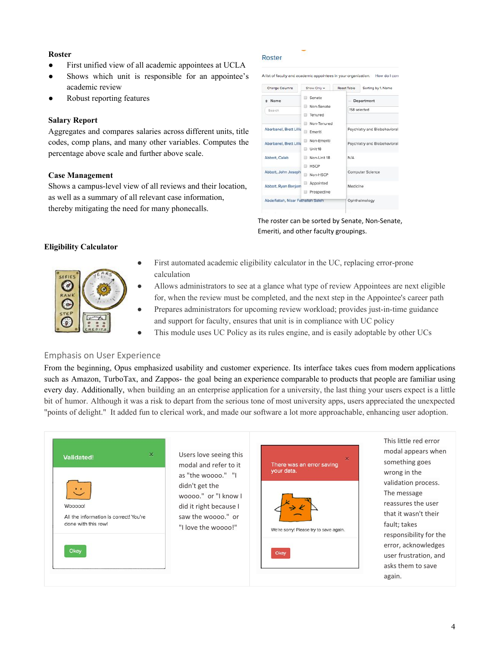#### **Roster**

- First unified view of all academic appointees at UCLA
- Shows which unit is responsible for an appointee's academic review
- Robust reporting features

#### **Salary Report**

Aggregates and compares salaries across different units, title codes, comp plans, and many other variables. Computes the percentage above scale and further above scale.

#### **Case Management**

Shows a campus-level view of all reviews and their location, as well as a summary of all relevant case information, thereby mitigating the need for many phonecalls.

#### Roster

| Change Columns                     | Show Only -                                    |  | Reset Table                                                  | Sorting by 1. Name         |  |
|------------------------------------|------------------------------------------------|--|--------------------------------------------------------------|----------------------------|--|
| Name<br>Search                     | Senate<br>m<br>Non-Senate<br>Tenured<br>m      |  |                                                              | Department<br>158 selected |  |
| Abarbanel, Brett Lillia            | Non-Tenured<br>89<br>Emeriti<br>⊛              |  | Psychiatry and Biobehavioral<br>Psychiatry and Biobehavioral |                            |  |
| Abarbanel, Brett Lillid            | Non-Emeriti<br>os<br>Unit 18<br>m              |  |                                                              |                            |  |
| Abbott, Caleb                      | Non-Unit 18<br><b>COL</b><br><b>HSCP</b><br>日: |  | N/A                                                          |                            |  |
| Abbott, John Joseph                | Non-HSCP<br>69                                 |  | Computer Science                                             |                            |  |
| Abbott, Ryan Benjam                | Appointed<br>Prospective<br>œ                  |  | Medicine                                                     |                            |  |
| Abdelfattah, Nizar Fathallah Saleh |                                                |  | Ophthalmology                                                |                            |  |
|                                    |                                                |  |                                                              |                            |  |

The roster can be sorted by Senate, Non-Senate, Emeriti, and other faculty groupings.

# **Eligibility Calculator**



- First automated academic eligibility calculator in the UC, replacing error-prone calculation
- Allows administrators to see at a glance what type of review Appointees are next eligible for, when the review must be completed, and the next step in the Appointee's career path
- Prepares administrators for upcoming review workload; provides just-in-time guidance and support for faculty, ensures that unit is in compliance with UC policy
- This module uses UC Policy as its rules engine, and is easily adoptable by other UCs

# Emphasis on User Experience

From the beginning, Opus emphasized usability and customer experience. Its interface takes cues from modern applications such as Amazon, TurboTax, and Zappos- the goal being an experience comparable to products that people are familiar using every day. Additionally, when building an an enterprise application for a university, the last thing your users expect is a little bit of humor. Although it was a risk to depart from the serious tone of most university apps, users appreciated the unexpected "points of delight." It added fun to clerical work, and made our software a lot more approachable, enhancing user adoption.